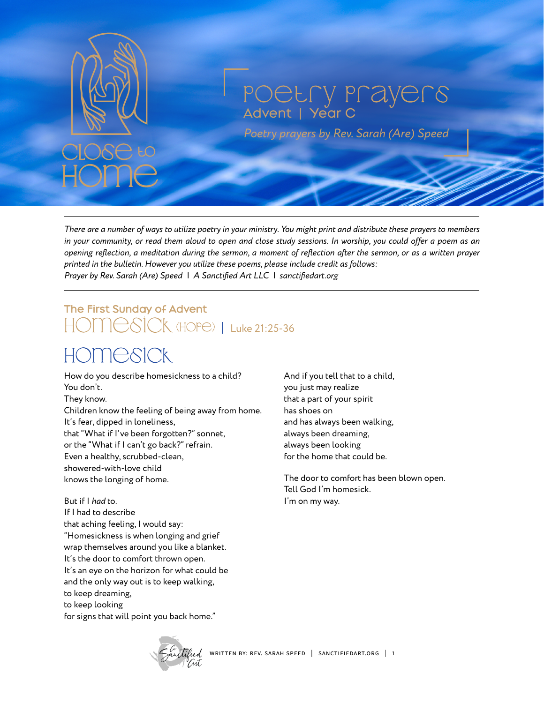

#### Poetry Prayers Advent | Year C

*Poetry prayers by Rev. Sarah (Are) Speed*

*There are a number of ways to utilize poetry in your ministry. You might print and distribute these prayers to members in your community, or read them aloud to open and close study sessions. In worship, you could offer a poem as an opening reflection, a meditation during the sermon, a moment of reflection after the sermon, or as a written prayer printed in the bulletin. However you utilize these poems, please include credit as follows: Prayer by Rev. Sarah (Are) Speed | A Sanctified Art LLC | sanctifiedart.org*

# The First Sunday of Advent HOMESICK (HOPE) | Luke 21:25-36

### homesick

How do you describe homesickness to a child? You don't. They know. Children know the feeling of being away from home. It's fear, dipped in loneliness, that "What if I've been forgotten?" sonnet, or the "What if I can't go back?" refrain. Even a healthy, scrubbed-clean, showered-with-love child knows the longing of home.

But if I *had* to.

If I had to describe that aching feeling, I would say: "Homesickness is when longing and grief wrap themselves around you like a blanket. It's the door to comfort thrown open. It's an eye on the horizon for what could be and the only way out is to keep walking, to keep dreaming, to keep looking for signs that will point you back home."

And if you tell that to a child, you just may realize that a part of your spirit has shoes on and has always been walking, always been dreaming, always been looking for the home that could be.

The door to comfort has been blown open. Tell God I'm homesick. I'm on my way.

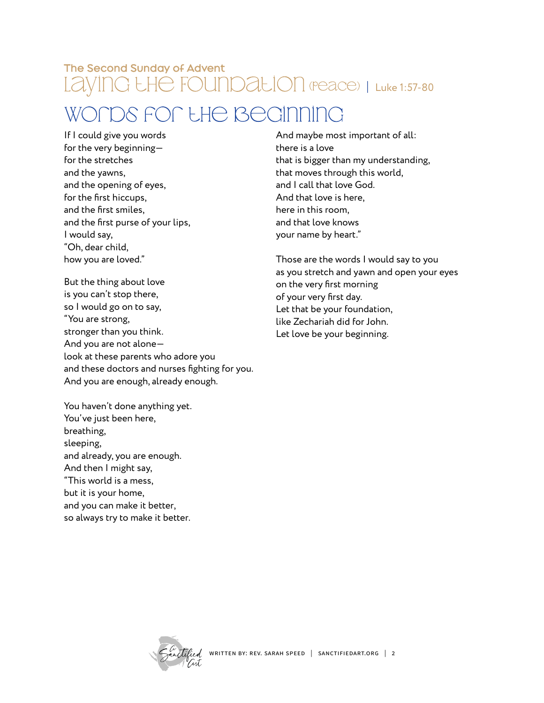#### The Second Sunday of Advent LayinG LHe FOUnDaLION (Peace) | Luke 1:57-80

### WONDS FON LHE BEGINNING

If I could give you words for the very beginning for the stretches and the yawns, and the opening of eyes, for the first hiccups, and the first smiles, and the first purse of your lips, I would say, "Oh, dear child, how you are loved."

But the thing about love is you can't stop there, so I would go on to say, "You are strong, stronger than you think. And you are not alone look at these parents who adore you and these doctors and nurses fighting for you. And you are enough, already enough.

You haven't done anything yet. You've just been here, breathing, sleeping, and already, you are enough. And then I might say, "This world is a mess, but it is your home, and you can make it better, so always try to make it better.

And maybe most important of all: there is a love that is bigger than my understanding, that moves through this world, and I call that love God. And that love is here, here in this room, and that love knows your name by heart."

Those are the words I would say to you as you stretch and yawn and open your eyes on the very first morning of your very first day. Let that be your foundation, like Zechariah did for John. Let love be your beginning.

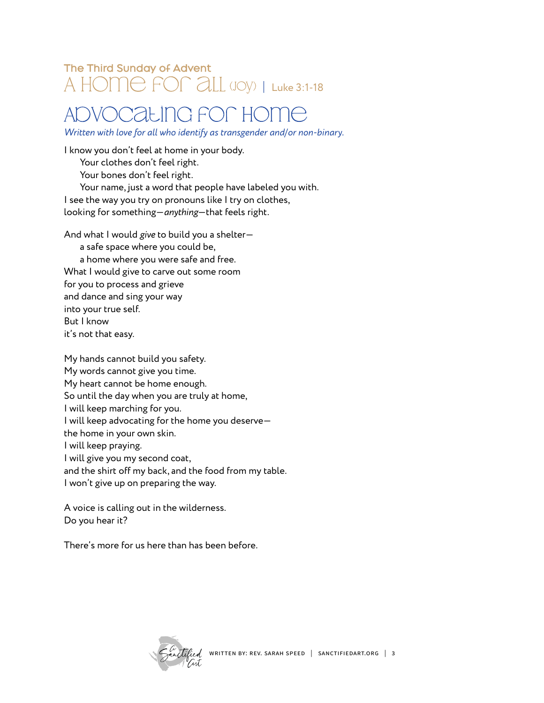#### The Third Sunday of Advent A HOME FOR ALL (JOY) | Luke 3:1-18

#### AdvocatinG for Home

*Written with love for all who identify as transgender and/or non-binary.*

I know you don't feel at home in your body. Your clothes don't feel right. Your bones don't feel right. Your name, just a word that people have labeled you with. I see the way you try on pronouns like I try on clothes, looking for something—*anything*—that feels right.

And what I would *give* to build you a shelter a safe space where you could be, a home where you were safe and free. What I would give to carve out some room for you to process and grieve and dance and sing your way into your true self. But I know

it's not that easy.

My hands cannot build you safety. My words cannot give you time. My heart cannot be home enough. So until the day when you are truly at home, I will keep marching for you. I will keep advocating for the home you deserve the home in your own skin. I will keep praying. I will give you my second coat, and the shirt off my back, and the food from my table. I won't give up on preparing the way.

A voice is calling out in the wilderness. Do you hear it?

There's more for us here than has been before.

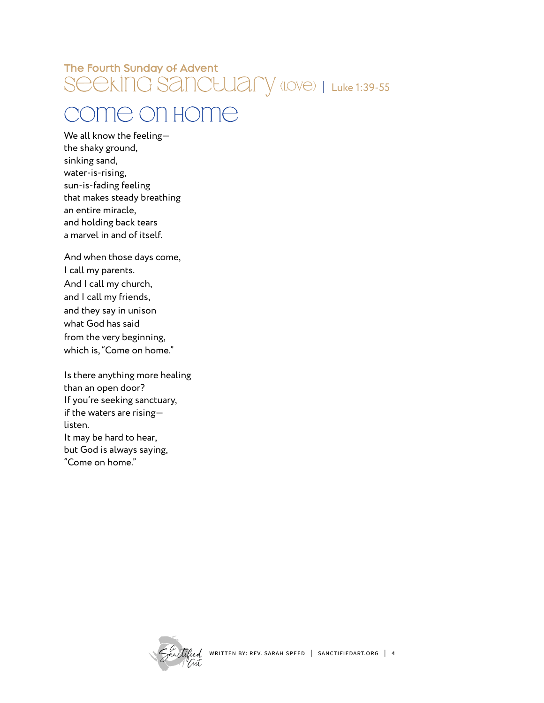#### The Fourth Sunday of Advent Seeking Sanctuary (Love) | Luke 1:39-55

### Come on Home

We all know the feeling the shaky ground, sinking sand, water-is-rising, sun-is-fading feeling that makes steady breathing an entire miracle, and holding back tears a marvel in and of itself.

And when those days come, I call my parents. And I call my church, and I call my friends, and they say in unison what God has said from the very beginning, which is, "Come on home."

Is there anything more healing than an open door? If you're seeking sanctuary, if the waters are rising listen. It may be hard to hear, but God is always saying, "Come on home."

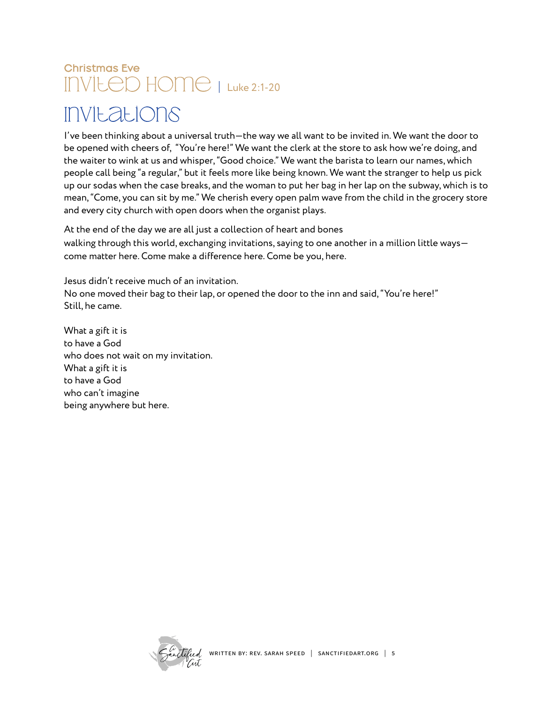# Christmas Eve INVILED HOME | Luke 2:1-20

### Invitations

I've been thinking about a universal truth—the way we all want to be invited in. We want the door to be opened with cheers of, "You're here!" We want the clerk at the store to ask how we're doing, and the waiter to wink at us and whisper, "Good choice." We want the barista to learn our names, which people call being "a regular," but it feels more like being known. We want the stranger to help us pick up our sodas when the case breaks, and the woman to put her bag in her lap on the subway, which is to mean, "Come, you can sit by me." We cherish every open palm wave from the child in the grocery store and every city church with open doors when the organist plays.

At the end of the day we are all just a collection of heart and bones walking through this world, exchanging invitations, saying to one another in a million little ways come matter here. Come make a difference here. Come be you, here.

Jesus didn't receive much of an invitation. No one moved their bag to their lap, or opened the door to the inn and said, "You're here!" Still, he came.

What a gift it is to have a God who does not wait on my invitation. What a gift it is to have a God who can't imagine being anywhere but here.

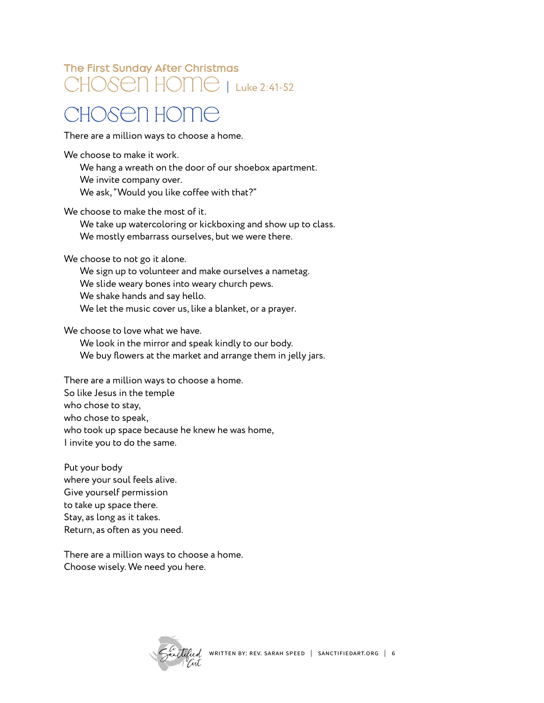#### The First Sunday After Christmas CHOSEN HOME | Luke 2:41-52

### Chosen Home

There are a million ways to choose a home.

We choose to make it work.

We hang a wreath on the door of our shoebox apartment. We invite company over. We ask, "Would you like coffee with that?"

We choose to make the most of it.

We take up watercoloring or kickboxing and show up to class. We mostly embarrass ourselves, but we were there.

We choose to not go it alone.

We sign up to volunteer and make ourselves a nametag. We slide weary bones into weary church pews. We shake hands and say hello. We let the music cover us, like a blanket, or a prayer.

We choose to love what we have.

We look in the mirror and speak kindly to our body. We buy flowers at the market and arrange them in jelly jars.

There are a million ways to choose a home. So like Jesus in the temple who chose to stay, who chose to speak, who took up space because he knew he was home, I invite you to do the same.

Put your body where your soul feels alive. Give yourself permission to take up space there. Stay, as long as it takes. Return, as often as you need.

There are a million ways to choose a home. Choose wisely. We need you here.

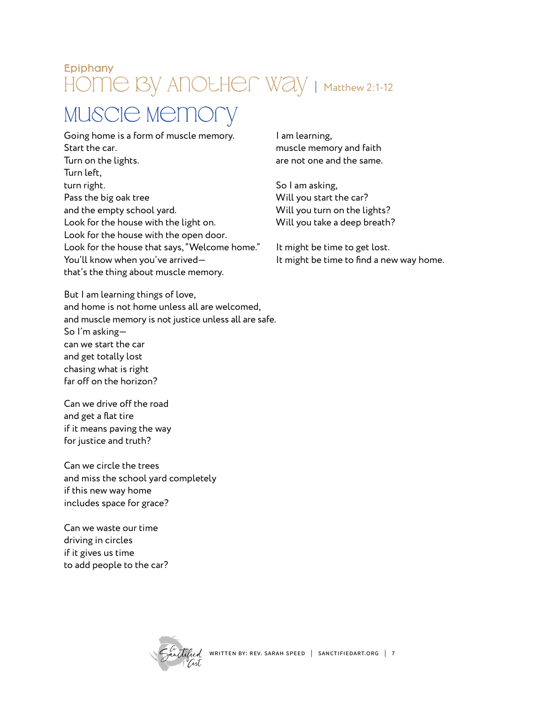#### Epiphany HOME BY ANOLHER WAY | Matthew 2:1-12

#### Muscle Memory

Going home is a form of muscle memory. Start the car. Turn on the lights. Turn left, turn right. Pass the big oak tree and the empty school yard. Look for the house with the light on. Look for the house with the open door. Look for the house that says, "Welcome home." You'll know when you've arrived that's the thing about muscle memory.

But I am learning things of love, and home is not home unless all are welcomed, and muscle memory is not justice unless all are safe. So I'm asking can we start the car and get totally lost chasing what is right far off on the horizon?

Can we drive off the road and get a flat tire if it means paving the way for justice and truth?

Can we circle the trees and miss the school yard completely if this new way home includes space for grace?

Can we waste our time driving in circles if it gives us time to add people to the car? I am learning, muscle memory and faith are not one and the same.

So I am asking, Will you start the car? Will you turn on the lights? Will you take a deep breath?

It might be time to get lost. It might be time to find a new way home.